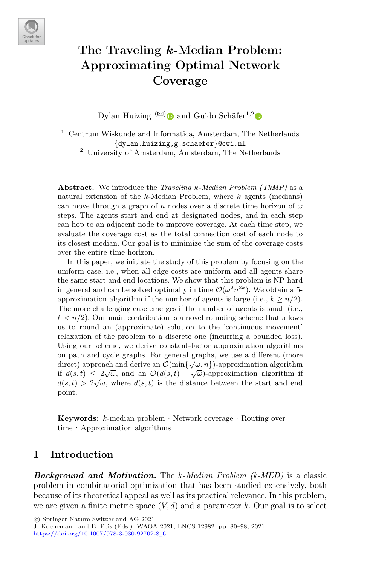

# **The Traveling** *k***-Median Problem: Approximating Optimal Network Coverage**

Dylan Huizing<sup>1( $\boxtimes$ [\)](http://orcid.org/0000-0003-2424-2752)</sup> and Guido Schäfer<sup>1,[2](http://orcid.org/0000-0002-1923-4902)</sup>

 $^1\,$  Centrum Wiskunde and Informatica, Amsterdam, The Netherlands {dylan.huizing,g.schaefer}@cwi.nl <sup>2</sup> University of Amsterdam, Amsterdam, The Netherlands

**Abstract.** We introduce the *Traveling* k*-Median Problem (TkMP)* as a natural extension of the  $k$ -Median Problem, where  $k$  agents (medians) can move through a graph of n nodes over a discrete time horizon of  $\omega$ steps. The agents start and end at designated nodes, and in each step can hop to an adjacent node to improve coverage. At each time step, we evaluate the coverage cost as the total connection cost of each node to its closest median. Our goal is to minimize the sum of the coverage costs over the entire time horizon.

In this paper, we initiate the study of this problem by focusing on the uniform case, i.e., when all edge costs are uniform and all agents share the same start and end locations. We show that this problem is NP-hard in general and can be solved optimally in time  $\mathcal{O}(\omega^2 n^{2k})$ . We obtain a 5approximation algorithm if the number of agents is large (i.e.,  $k > n/2$ ). The more challenging case emerges if the number of agents is small (i.e.,  $k \leq n/2$ ). Our main contribution is a novel rounding scheme that allows us to round an (approximate) solution to the 'continuous movement' relaxation of the problem to a discrete one (incurring a bounded loss). Using our scheme, we derive constant-factor approximation algorithms on path and cycle graphs. For general graphs, we use a different (more direct) approach and derive an  $\mathcal{O}(\min\{\sqrt{\omega},n\})$ -approximation algorithm if  $d(s,t) \leq 2\sqrt{\omega}$ , and an  $\mathcal{O}(d(s,t)+\sqrt{\omega})$ -approximation algorithm if  $d(s,t) > 2\sqrt{\omega}$ , where  $d(s,t)$  is the distance between the start and end point.

**Keywords:** <sup>k</sup>-median problem · Network coverage · Routing over time  $\cdot$  Approximation algorithms

### **1 Introduction**

*Background and Motivation.* The k*-Median Problem (k-MED)* is a classic problem in combinatorial optimization that has been studied extensively, both because of its theoretical appeal as well as its practical relevance. In this problem, we are given a finite metric space  $(V, d)$  and a parameter k. Our goal is to select

-c Springer Nature Switzerland AG 2021

J. Koenemann and B. Peis (Eds.): WAOA 2021, LNCS 12982, pp. 80–98, 2021. [https://doi.org/10.1007/978-3-030-92702-8](https://doi.org/10.1007/978-3-030-92702-8_6)\_6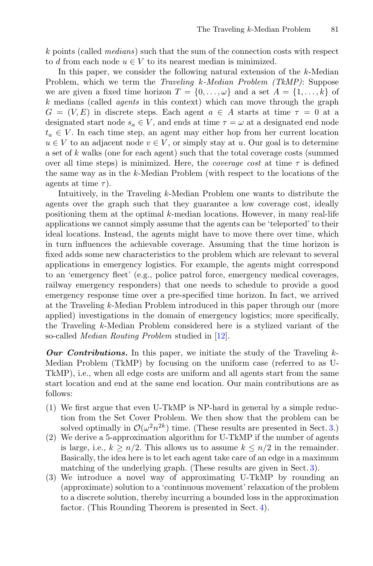k points (called *medians*) such that the sum of the connection costs with respect to d from each node  $u \in V$  to its nearest median is minimized.

In this paper, we consider the following natural extension of the k-Median Problem, which we term the *Traveling* k*-Median Problem (TkMP)*: Suppose we are given a fixed time horizon  $T = \{0, \ldots, \omega\}$  and a set  $A = \{1, \ldots, k\}$  of k medians (called *agents* in this context) which can move through the graph  $G = (V, E)$  in discrete steps. Each agent  $a \in A$  starts at time  $\tau = 0$  at a designated start node  $s_a \in V$ , and ends at time  $\tau = \omega$  at a designated end node  $t_a \in V$ . In each time step, an agent may either hop from her current location  $u \in V$  to an adjacent node  $v \in V$ , or simply stay at u. Our goal is to determine a set of  $k$  walks (one for each agent) such that the total coverage costs (summed over all time steps) is minimized. Here, the *coverage cost* at time  $\tau$  is defined the same way as in the k-Median Problem (with respect to the locations of the agents at time  $\tau$ ).

Intuitively, in the Traveling k-Median Problem one wants to distribute the agents over the graph such that they guarantee a low coverage cost, ideally positioning them at the optimal k-median locations. However, in many real-life applications we cannot simply assume that the agents can be 'teleported' to their ideal locations. Instead, the agents might have to move there over time, which in turn influences the achievable coverage. Assuming that the time horizon is fixed adds some new characteristics to the problem which are relevant to several applications in emergency logistics. For example, the agents might correspond to an 'emergency fleet' (e.g., police patrol force, emergency medical coverages, railway emergency responders) that one needs to schedule to provide a good emergency response time over a pre-specified time horizon. In fact, we arrived at the Traveling k-Median Problem introduced in this paper through our (more applied) investigations in the domain of emergency logistics; more specifically, the Traveling k-Median Problem considered here is a stylized variant of the so-called *Median Routing Problem* studied in [\[12\]](#page-18-0).

*Our Contributions.* In this paper, we initiate the study of the Traveling k-Median Problem (TkMP) by focusing on the uniform case (referred to as U-TkMP), i.e., when all edge costs are uniform and all agents start from the same start location and end at the same end location. Our main contributions are as follows:

- (1) We first argue that even U-TkMP is NP-hard in general by a simple reduction from the Set Cover Problem. We then show that the problem can be solved optimally in  $\mathcal{O}(\omega^2 n^{2k})$  time. (These results are presented in Sect. [3.](#page-4-0))
- (2) We derive a 5-approximation algorithm for U-TkMP if the number of agents is large, i.e.,  $k \geq n/2$ . This allows us to assume  $k \leq n/2$  in the remainder. Basically, the idea here is to let each agent take care of an edge in a maximum matching of the underlying graph. (These results are given in Sect. [3\)](#page-4-0).
- (3) We introduce a novel way of approximating U-TkMP by rounding an (approximate) solution to a 'continuous movement' relaxation of the problem to a discrete solution, thereby incurring a bounded loss in the approximation factor. (This Rounding Theorem is presented in Sect. [4\)](#page-6-0).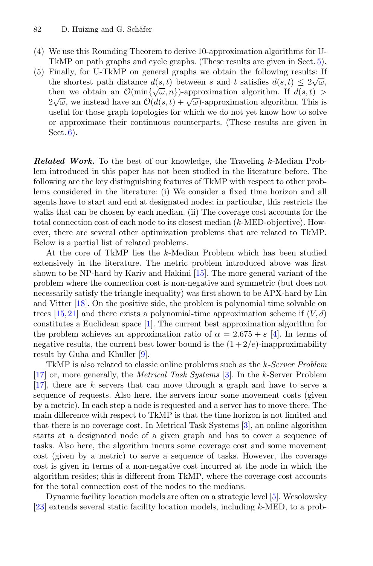- (4) We use this Rounding Theorem to derive 10-approximation algorithms for U-TkMP on path graphs and cycle graphs. (These results are given in Sect. [5\)](#page-9-0).
- (5) Finally, for U-TkMP on general graphs we obtain the following results: If the shortest path distance  $d(s, t)$  between s and t satisfies  $d(s, t) \leq 2\sqrt{\omega}$ , then we obtain an  $\mathcal{O}(\min\{\sqrt{\omega},n\})$ -approximation algorithm. If  $d(s,t) >$  $2\sqrt{\omega}$ , we instead have an  $\mathcal{O}(d(s,t)+\sqrt{\omega})$ -approximation algorithm. This is useful for those graph topologies for which we do not yet know how to solve or approximate their continuous counterparts. (These results are given in Sect. [6\)](#page-12-0).

*Related Work.* To the best of our knowledge, the Traveling k-Median Problem introduced in this paper has not been studied in the literature before. The following are the key distinguishing features of TkMP with respect to other problems considered in the literature: (i) We consider a fixed time horizon and all agents have to start and end at designated nodes; in particular, this restricts the walks that can be chosen by each median. (ii) The coverage cost accounts for the total connection cost of each node to its closest median (k-MED-objective). However, there are several other optimization problems that are related to TkMP. Below is a partial list of related problems.

At the core of TkMP lies the k-Median Problem which has been studied extensively in the literature. The metric problem introduced above was first shown to be NP-hard by Kariv and Hakimi [\[15\]](#page-18-1). The more general variant of the problem where the connection cost is non-negative and symmetric (but does not necessarily satisfy the triangle inequality) was first shown to be APX-hard by Lin and Vitter [\[18](#page-18-2)]. On the positive side, the problem is polynomial time solvable on trees [\[15](#page-18-1),[21\]](#page-18-3) and there exists a polynomial-time approximation scheme if  $(V, d)$ constitutes a Euclidean space [\[1\]](#page-17-0). The current best approximation algorithm for the problem achieves an approximation ratio of  $\alpha = 2.675 + \varepsilon$  [\[4](#page-17-1)]. In terms of negative results, the current best lower bound is the  $(1+2/e)$ -inapproximability result by Guha and Khuller [\[9](#page-18-4)].

TkMP is also related to classic online problems such as the k*-Server Problem* [\[17](#page-18-5)] or, more generally, the *Metrical Task Systems* [\[3](#page-17-2)]. In the k-Server Problem [\[17](#page-18-5)], there are k servers that can move through a graph and have to serve a sequence of requests. Also here, the servers incur some movement costs (given by a metric). In each step a node is requested and a server has to move there. The main difference with respect to TkMP is that the time horizon is not limited and that there is no coverage cost. In Metrical Task Systems [\[3](#page-17-2)], an online algorithm starts at a designated node of a given graph and has to cover a sequence of tasks. Also here, the algorithm incurs some coverage cost and some movement cost (given by a metric) to serve a sequence of tasks. However, the coverage cost is given in terms of a non-negative cost incurred at the node in which the algorithm resides; this is different from TkMP, where the coverage cost accounts for the total connection cost of the nodes to the medians.

Dynamic facility location models are often on a strategic level [\[5\]](#page-17-3). Wesolowsky [\[23](#page-18-6)] extends several static facility location models, including k-MED, to a prob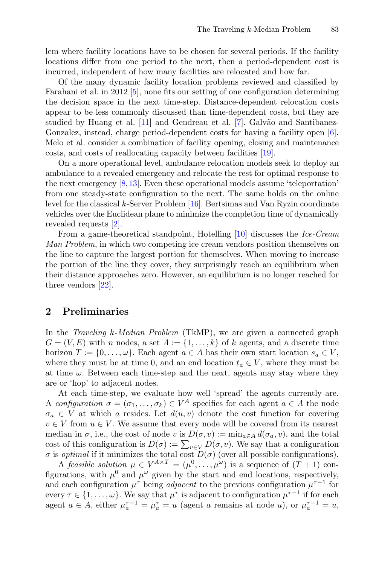lem where facility locations have to be chosen for several periods. If the facility locations differ from one period to the next, then a period-dependent cost is incurred, independent of how many facilities are relocated and how far.

Of the many dynamic facility location problems reviewed and classified by Farahani et al. in 2012 [\[5](#page-17-3)], none fits our setting of one configuration determining the decision space in the next time-step. Distance-dependent relocation costs appear to be less commonly discussed than time-dependent costs, but they are studied by Huang et al. [\[11](#page-18-7)] and Gendreau et al. [\[7](#page-17-4)]. Galvão and Santibanez-Gonzalez, instead, charge period-dependent costs for having a facility open [\[6\]](#page-17-5). Melo et al. consider a combination of facility opening, closing and maintenance costs, and costs of reallocating capacity between facilities [\[19\]](#page-18-8).

On a more operational level, ambulance relocation models seek to deploy an ambulance to a revealed emergency and relocate the rest for optimal response to the next emergency [\[8](#page-18-9),[13\]](#page-18-10). Even these operational models assume 'teleportation' from one steady-state configuration to the next. The same holds on the online level for the classical k-Server Problem [\[16](#page-18-11)]. Bertsimas and Van Ryzin coordinate vehicles over the Euclidean plane to minimize the completion time of dynamically revealed requests [\[2\]](#page-17-6).

From a game-theoretical standpoint, Hotelling [\[10\]](#page-18-12) discusses the *Ice-Cream Man Problem*, in which two competing ice cream vendors position themselves on the line to capture the largest portion for themselves. When moving to increase the portion of the line they cover, they surprisingly reach an equilibrium when their distance approaches zero. However, an equilibrium is no longer reached for three vendors [\[22](#page-18-13)].

### **2 Preliminaries**

In the *Traveling* k*-Median Problem* (TkMP), we are given a connected graph  $G = (V, E)$  with n nodes, a set  $A := \{1, \ldots, k\}$  of k agents, and a discrete time horizon  $T := \{0, \ldots, \omega\}$ . Each agent  $a \in A$  has their own start location  $s_a \in V$ , where they must be at time 0, and an end location  $t_a \in V$ , where they must be at time  $\omega$ . Between each time-step and the next, agents may stay where they are or 'hop' to adjacent nodes.

At each time-step, we evaluate how well 'spread' the agents currently are. A *configuration*  $\sigma = (\sigma_1, \ldots, \sigma_k) \in V^A$  specifies for each agent  $a \in A$  the node  $\sigma_a \in V$  at which a resides. Let  $d(u, v)$  denote the cost function for covering  $v \in V$  from  $u \in V$ . We assume that every node will be covered from its nearest median in  $\sigma$ , i.e., the cost of node v is  $D(\sigma, v) := \min_{a \in A} d(\sigma_a, v)$ , and the total cost of this configuration is  $D(\sigma) := \sum_{v \in V} D(\sigma, v)$ . We say that a configuration σ is *optimal* if it minimizes the total cost D(σ) (over all possible configurations).

A *feasible solution*  $\mu \in V^{A \times T} = (\mu^0, \dots, \mu^\omega)$  is a sequence of  $(T + 1)$  configurations, with  $\mu^0$  and  $\mu^{\omega}$  given by the start and end locations, respectively, and each configuration  $\mu^{\tau}$  being *adjacent* to the previous configuration  $\mu^{\tau-1}$  for every  $\tau \in \{1,\ldots,\omega\}$ . We say that  $\mu^{\tau}$  is adjacent to configuration  $\mu^{\tau-1}$  if for each agent  $a \in A$ , either  $\mu_a^{\tau-1} = \mu_a^{\tau} = u$  (agent a remains at node u), or  $\mu_a^{\tau-1} = u$ ,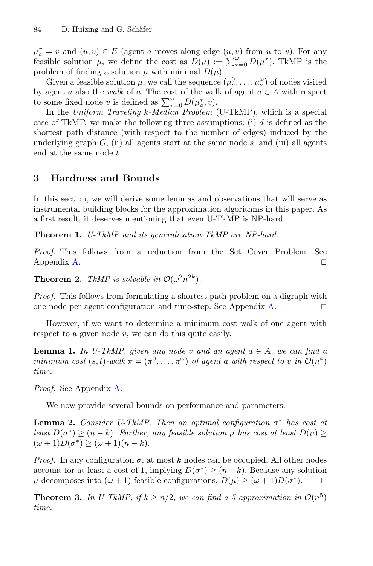$\mu_a^{\tau} = v$  and  $(u, v) \in E$  (agent a moves along edge  $(u, v)$  from u to v). For any feasible solution  $\mu$ , we define the cost as  $D(\mu) := \sum_{\tau=0}^{\omega} D(\mu^{\tau})$ . TkMP is the problem of finding a solution  $\mu$  with minimal  $D(\mu)$ .

Given a feasible solution  $\mu$ , we call the sequence  $(\mu_a^0, \dots, \mu_a^{\omega})$  of nodes visited by agent a also the *walk* of a. The cost of the walk of agent  $a \in A$  with respect to some fixed node v is defined as  $\sum_{\tau=0}^{\omega} D(\mu_a^{\tau}, v)$ .

In the *Uniform Traveling* k*-Median Problem* (U-TkMP), which is a special case of TkMP, we make the following three assumptions: (i)  $d$  is defined as the shortest path distance (with respect to the number of edges) induced by the underlying graph  $G$ , (ii) all agents start at the same node s, and (iii) all agents end at the same node t.

### <span id="page-4-0"></span>**3 Hardness and Bounds**

<span id="page-4-5"></span>In this section, we will derive some lemmas and observations that will serve as instrumental building blocks for the approximation algorithms in this paper. As a first result, it deserves mentioning that even U-TkMP is NP-hard.

**Theorem 1.** *U-TkMP and its generalization TkMP are NP-hard.*

*Proof.* This follows from a reduction from the Set Cover Problem. See Appendix [A.](#page-15-0)

<span id="page-4-4"></span>**Theorem 2.** *TkMP is solvable in*  $\mathcal{O}(\omega^2 n^{2k})$ *.* 

*Proof.* This follows from formulating a shortest path problem on a digraph with one node per agent configuration and time-step. See Appendix [A.](#page-15-0)

<span id="page-4-1"></span>However, if we want to determine a minimum cost walk of one agent with respect to a given node v, we can do this quite easily.

**Lemma 1.** *In U-TkMP, given any node* v and an agent  $a \in A$ , we can find a *minimum cost*  $(s, t)$ *-walk*  $\pi = (\pi^0, \dots, \pi^\omega)$  *of agent a with respect to v in*  $\mathcal{O}(n^4)$ *time.*

*Proof.* See Appendix [A.](#page-15-0)

<span id="page-4-3"></span>We now provide several bounds on performance and parameters.

**Lemma 2.** *Consider U-TkMP. Then an optimal configuration* σ<sup>∗</sup> *has cost at least*  $D(\sigma^*) \geq (n-k)$ *. Further, any feasible solution*  $\mu$  *has cost at least*  $D(\mu) \geq$  $(\omega + 1)D(\sigma^*) \geq (\omega + 1)(n - k).$ 

*Proof.* In any configuration  $\sigma$ , at most k nodes can be occupied. All other nodes account for at least a cost of 1, implying  $D(\sigma^*) \ge (n-k)$ . Because any solution  $\mu$  decomposes into  $(\omega + 1)$  feasible configurations,  $D(\mu) > (\omega + 1)D(\sigma^*)$ .  $\mu$  decomposes into  $(\omega + 1)$  feasible configurations,  $D(\mu) \geq (\omega + 1)D(\sigma^*)$ .

<span id="page-4-2"></span>**Theorem 3.** In U-TkMP, if  $k \geq n/2$ , we can find a 5-approximation in  $\mathcal{O}(n^5)$ *time.*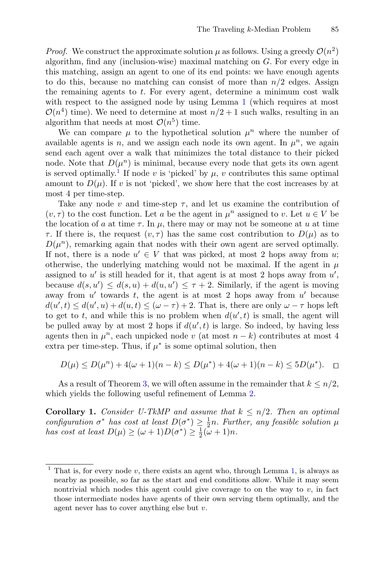*Proof.* We construct the approximate solution  $\mu$  as follows. Using a greedy  $\mathcal{O}(n^2)$ algorithm, find any (inclusion-wise) maximal matching on  $G$ . For every edge in this matching, assign an agent to one of its end points: we have enough agents to do this, because no matching can consist of more than  $n/2$  edges. Assign the remaining agents to  $t$ . For every agent, determine a minimum cost walk with respect to the assigned node by using Lemma [1](#page-4-1) (which requires at most  $\mathcal{O}(n^4)$  time). We need to determine at most  $n/2+1$  such walks, resulting in an algorithm that needs at most  $\mathcal{O}(n^5)$  time.

We can compare  $\mu$  to the hypothetical solution  $\mu^n$  where the number of available agents is n, and we assign each node its own agent. In  $\mu^n$ , we again send each agent over a walk that minimizes the total distance to their picked node. Note that  $D(\mu^n)$  is minimal, because every node that gets its own agent is served optimally.<sup>[1](#page-5-0)</sup> If node v is 'picked' by  $\mu$ , v contributes this same optimal amount to  $D(\mu)$ . If v is not 'picked', we show here that the cost increases by at most 4 per time-step.

Take any node  $v$  and time-step  $\tau$ , and let us examine the contribution of  $(v, \tau)$  to the cost function. Let a be the agent in  $\mu^n$  assigned to v. Let  $u \in V$  be the location of a at time  $\tau$ . In  $\mu$ , there may or may not be someone at u at time  $\tau$ . If there is, the request  $(v, \tau)$  has the same cost contribution to  $D(\mu)$  as to  $D(\mu^n)$ , remarking again that nodes with their own agent are served optimally. If not, there is a node  $u' \in V$  that was picked, at most 2 hops away from u; otherwise, the underlying matching would not be maximal. If the agent in  $\mu$ assigned to  $u'$  is still headed for it, that agent is at most 2 hops away from  $u'$ , because  $d(s, u') \leq d(s, u) + d(u, u') \leq \tau + 2$ . Similarly, if the agent is moving away from  $u'$  towards t, the agent is at most 2 hops away from  $u'$  because  $d(u',t) \leq d(u',u) + d(u,t) \leq (\omega - \tau) + 2$ . That is, there are only  $\omega - \tau$  hops left to get to t, and while this is no problem when  $d(u', t)$  is small, the agent will be pulled away by at most 2 hops if  $d(u', t)$  is large. So indeed, by having less agents then in  $\mu^n$ , each unpicked node v (at most  $n - k$ ) contributes at most 4 extra per time-step. Thus, if  $\mu^*$  is some optimal solution, then

$$
D(\mu) \le D(\mu^n) + 4(\omega + 1)(n - k) \le D(\mu^*) + 4(\omega + 1)(n - k) \le 5D(\mu^*).
$$

<span id="page-5-1"></span>As a result of Theorem [3,](#page-4-2) we will often assume in the remainder that  $k \leq n/2$ , which yields the following useful refinement of Lemma [2.](#page-4-3)

**Corollary 1.** *Consider U-TkMP and assume that*  $k \leq n/2$ *. Then an optimal configuration*  $\sigma^*$  *has cost at least*  $D(\sigma^*) \geq \frac{1}{2}n$ *. Further, any feasible solution* μ *has cost at least*  $D(\mu) \geq (\omega + 1)D(\sigma^*) \geq \frac{1}{2}(\omega + 1)n$ .

<span id="page-5-0"></span><sup>&</sup>lt;sup>1</sup> That is, for every node v, there exists an agent who, through Lemma [1,](#page-4-1) is always as nearby as possible, so far as the start and end conditions allow. While it may seem nontrivial which nodes this agent could give coverage to on the way to  $v$ , in fact those intermediate nodes have agents of their own serving them optimally, and the agent never has to cover anything else but  $v$ .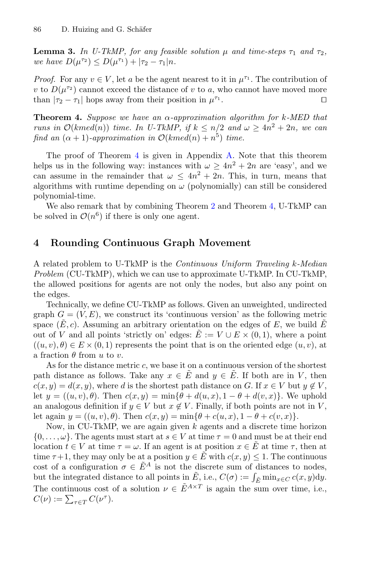<span id="page-6-2"></span>**Lemma 3.** *In U-TkMP, for any feasible solution*  $\mu$  *and time-steps*  $\tau_1$  *and*  $\tau_2$ *, we have*  $D(\mu^{\tau_2}) \leq D(\mu^{\tau_1}) + |\tau_2 - \tau_1|n$ .

*Proof.* For any  $v \in V$ , let a be the agent nearest to it in  $\mu^{\tau_1}$ . The contribution of v to  $D(\mu^{\tau_2})$  cannot exceed the distance of v to a, who cannot have moved more than  $|\tau_2 - \tau_1|$  hops away from their position in  $\mu^{\tau_1}$ .

<span id="page-6-1"></span>**Theorem 4.** *Suppose we have an* α*-approximation algorithm for* k*-MED that runs in*  $\mathcal{O}(k \text{med}(n))$  *time. In U-TkMP, if*  $k \leq n/2$  *and*  $\omega \geq 4n^2 + 2n$ *, we can find an*  $(\alpha + 1)$ *-approximation in*  $\mathcal{O}(k \cdot \text{med}(n) + n^5)$  *time.* 

The proof of Theorem  $4$  is given in Appendix [A.](#page-15-0) Note that this theorem helps us in the following way: instances with  $\omega > 4n^2 + 2n$  are 'easy', and we can assume in the remainder that  $\omega \le 4n^2 + 2n$ . This, in turn, means that algorithms with runtime depending on  $\omega$  (polynomially) can still be considered polynomial-time.

We also remark that by combining Theorem [2](#page-4-4) and Theorem [4,](#page-6-1) U-TkMP can be solved in  $\mathcal{O}(n^6)$  if there is only one agent.

### <span id="page-6-0"></span>**4 Rounding Continuous Graph Movement**

A related problem to U-TkMP is the *Continuous Uniform Traveling* k*-Median Problem* (CU-TkMP), which we can use to approximate U-TkMP. In CU-TkMP, the allowed positions for agents are not only the nodes, but also any point on the edges.

Technically, we define CU-TkMP as follows. Given an unweighted, undirected graph  $G = (V, E)$ , we construct its 'continuous version' as the following metric space  $(E, c)$ . Assuming an arbitrary orientation on the edges of E, we build E out of V and all points 'strictly on' edges:  $E := V \cup E \times (0, 1)$ , where a point  $((u, v), \theta) \in E \times (0, 1)$  represents the point that is on the oriented edge  $(u, v)$ , at a fraction  $\theta$  from u to v.

As for the distance metric  $c$ , we base it on a continuous version of the shortest path distance as follows. Take any  $x \in \overline{E}$  and  $y \in \overline{E}$ . If both are in V, then  $c(x, y) = d(x, y)$ , where d is the shortest path distance on G. If  $x \in V$  but  $y \notin V$ . let  $y = ((u, v), \theta)$ . Then  $c(x, y) = \min{\theta + d(u, x), 1 - \theta + d(v, x)}$ . We uphold an analogous definition if  $y \in V$  but  $x \notin V$ . Finally, if both points are not in V, let again  $y = ((u, v), \theta)$ . Then  $c(x, y) = \min{\theta + c(u, x), 1 - \theta + c(v, x)}$ .

Now, in CU-TkMP, we are again given  $k$  agents and a discrete time horizon  $\{0,\ldots,\omega\}$ . The agents must start at  $s \in V$  at time  $\tau = 0$  and must be at their end location  $t \in V$  at time  $\tau = \omega$ . If an agent is at position  $x \in E$  at time  $\tau$ , then at time  $\tau + 1$ , they may only be at a position  $y \in E$  with  $c(x, y) \leq 1$ . The continuous cost of a configuration  $\sigma \in \tilde{E}^A$  is not the discrete sum of distances to nodes, but the integrated distance to all points in  $\tilde{E}$ , i.e.,  $C(\sigma) := \int_{\tilde{E}} \min_{x \in C} c(x, y) dy$ . The continuous cost of a solution  $\nu \in \tilde{E}^{A \times T}$  is again the sum over time, i.e.,  $C(\nu) := \sum_{\tau \in T} C(\nu^{\tau}).$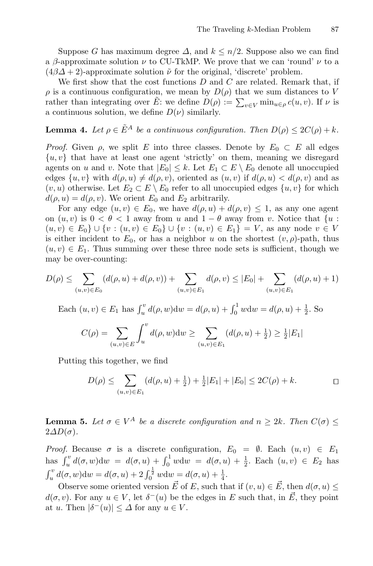Suppose G has maximum degree  $\Delta$ , and  $k \leq n/2$ . Suppose also we can find a β-approximate solution  $\nu$  to CU-TkMP. We prove that we can 'round'  $\nu$  to a  $(4\beta\Delta + 2)$ -approximate solution  $\tilde{\nu}$  for the original, 'discrete' problem.

We first show that the cost functions  $D$  and  $C$  are related. Remark that, if  $\rho$  is a continuous configuration, we mean by  $D(\rho)$  that we sum distances to V rather than integrating over  $\tilde{E}$ : we define  $D(\rho) := \sum_{v \in V} \min_{u \in \rho} c(u, v)$ . If  $\nu$  is a continuous solution, we define  $D(\nu)$  similarly.

<span id="page-7-0"></span>**Lemma 4.** *Let*  $\rho \in \tilde{E}^A$  *be a continuous configuration. Then*  $D(\rho) \leq 2C(\rho) + k$ *.* 

*Proof.* Given  $\rho$ , we split E into three classes. Denote by  $E_0 \subset E$  all edges  $\{u, v\}$  that have at least one agent 'strictly' on them, meaning we disregard agents on u and v. Note that  $|E_0| \leq k$ . Let  $E_1 \subset E \setminus E_0$  denote all unoccupied edges  $\{u, v\}$  with  $d(\rho, u) \neq d(\rho, v)$ , oriented as  $(u, v)$  if  $d(\rho, u) < d(\rho, v)$  and as  $(v, u)$  otherwise. Let  $E_2 \subset E \setminus E_0$  refer to all unoccupied edges  $\{u, v\}$  for which  $d(\rho, u) = d(\rho, v)$ . We orient  $E_0$  and  $E_2$  arbitrarily.

For any edge  $(u, v) \in E_0$ , we have  $d(\rho, u) + d(\rho, v) \leq 1$ , as any one agent on  $(u, v)$  is  $0 < \theta < 1$  away from u and  $1 - \theta$  away from v. Notice that  $\{u :$  $(u, v) \in E_0$   $\cup$   $\{v : (u, v) \in E_0\}$   $\cup$   $\{v : (u, v) \in E_1\} = V$ , as any node  $v \in V$ is either incident to  $E_0$ , or has a neighbor u on the shortest  $(v, \rho)$ -path, thus  $(u, v) \in E_1$ . Thus summing over these three node sets is sufficient, though we may be over-counting:

$$
D(\rho) \leq \sum_{(u,v)\in E_0} (d(\rho, u) + d(\rho, v)) + \sum_{(u,v)\in E_1} d(\rho, v) \leq |E_0| + \sum_{(u,v)\in E_1} (d(\rho, u) + 1)
$$

Each  $(u, v) \in E_1$  has  $\int_u^v d(\rho, w) dw = d(\rho, u) + \int_0^1 w dw = d(\rho, u) + \frac{1}{2}$ . So

$$
C(\rho) = \sum_{(u,v)\in E} \int_u^v d(\rho, w) \, \mathrm{d}w \ge \sum_{(u,v)\in E_1} (d(\rho, u) + \frac{1}{2}) \ge \frac{1}{2}|E_1|
$$

Putting this together, we find

$$
D(\rho) \leq \sum_{(u,v)\in E_1} (d(\rho, u) + \frac{1}{2}) + \frac{1}{2}|E_1| + |E_0| \leq 2C(\rho) + k.
$$

<span id="page-7-1"></span>**Lemma 5.** Let  $\sigma \in V^A$  be a discrete configuration and  $n \geq 2k$ . Then  $C(\sigma) \leq$  $2\Delta D(\sigma)$ .

*Proof.* Because  $\sigma$  is a discrete configuration,  $E_0 = \emptyset$ . Each  $(u, v) \in E_1$ has  $\int_u^v d(\sigma, w) \, \mathrm{d}w = d(\sigma, u) + \int_0^1 w \, \mathrm{d}w = d(\sigma, u) + \frac{1}{2}$ . Each  $(u, v) \in E_2$  has  $\int_u^v d(\sigma, w) \, \mathrm{d}w = d(\sigma, u) + 2 \int_0^{\frac{1}{2}} w \, \mathrm{d}w = d(\sigma, u) + \frac{1}{4}.$ 

Observe some oriented version  $\vec{E}$  of E, such that if  $(v, u) \in \vec{E}$ , then  $d(\sigma, u)$  $d(\sigma, v)$ . For any  $u \in V$ , let  $\delta^-(u)$  be the edges in E such that, in  $\vec{E}$ , they point at u. Then  $|\delta^-(u)| \leq \Delta$  for any  $u \in V$ .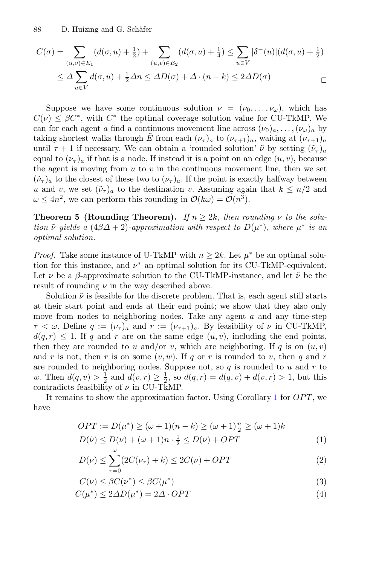$$
C(\sigma) = \sum_{(u,v)\in E_1} (d(\sigma, u) + \frac{1}{2}) + \sum_{(u,v)\in E_2} (d(\sigma, u) + \frac{1}{4}) \le \sum_{u\in V} |\delta^-(u)| (d(\sigma, u) + \frac{1}{2})
$$
  

$$
\le \Delta \sum_{u\in V} d(\sigma, u) + \frac{1}{2}\Delta n \le \Delta D(\sigma) + \Delta \cdot (n - k) \le 2\Delta D(\sigma)
$$

Suppose we have some continuous solution  $\nu = (\nu_0, \dots, \nu_\omega)$ , which has  $C(\nu) \leq \beta C^*$ , with  $C^*$  the optimal coverage solution value for CU-TkMP. We can for each agent a find a continuous movement line across  $(\nu_0)_a, \ldots, (\nu_\omega)_a$  by taking shortest walks through E from each  $(\nu_{\tau})_a$  to  $(\nu_{\tau+1})_a$ , waiting at  $(\nu_{\tau+1})_a$ until  $\tau + 1$  if necessary. We can obtain a 'rounded solution'  $\tilde{\nu}$  by setting  $(\tilde{\nu}_{\tau})_a$ equal to  $(\nu_{\tau})_a$  if that is a node. If instead it is a point on an edge  $(u, v)$ , because the agent is moving from  $u$  to  $v$  in the continuous movement line, then we set  $(\tilde{\nu}_{\tau})_a$  to the closest of these two to  $(\nu_{\tau})_a$ . If the point is exactly halfway between u and v, we set  $(\tilde{\nu}_{\tau})_a$  to the destination v. Assuming again that  $k \leq n/2$  and  $\omega \leq 4n^2$ , we can perform this rounding in  $\mathcal{O}(k\omega) = \mathcal{O}(n^3)$ .

<span id="page-8-4"></span>**Theorem 5 (Rounding Theorem).** *If*  $n \geq 2k$ *, then rounding*  $\nu$  *to the solution*  $\tilde{\nu}$  *yields* a (4 $\beta\Delta + 2$ )*-approximation with respect to*  $D(\mu^*)$ *, where*  $\mu^*$  *is an optimal solution.*

*Proof.* Take some instance of U-TkMP with  $n \geq 2k$ . Let  $\mu^*$  be an optimal solution for this instance, and  $\nu^*$  an optimal solution for its CU-TkMP-equivalent. Let  $\nu$  be a  $\beta$ -approximate solution to the CU-TkMP-instance, and let  $\tilde{\nu}$  be the result of rounding  $\nu$  in the way described above.

Solution  $\tilde{\nu}$  is feasible for the discrete problem. That is, each agent still starts at their start point and ends at their end point; we show that they also only move from nodes to neighboring nodes. Take any agent  $a$  and any time-step  $\tau < \omega$ . Define  $q := (\nu_{\tau})_a$  and  $r := (\nu_{\tau+1})_a$ . By feasibility of  $\nu$  in CU-TkMP,  $d(q, r) \leq 1$ . If q and r are on the same edge  $(u, v)$ , including the end points, then they are rounded to u and/or v, which are neighboring. If q is on  $(u, v)$ and r is not, then r is on some  $(v, w)$ . If q or r is rounded to v, then q and r are rounded to neighboring nodes. Suppose not, so  $q$  is rounded to  $u$  and  $r$  to w. Then  $d(q, v) > \frac{1}{2}$  and  $d(v, r) \ge \frac{1}{2}$ , so  $d(q, r) = d(q, v) + d(v, r) > 1$ , but this contradicts feasibility of  $\nu$  in CU-TkMP.

It remains to show the approximation factor. Using Corollary [1](#page-5-1) for OPT, we have

<span id="page-8-0"></span>
$$
OPT := D(\mu^*) \geq (\omega + 1)(n - k) \geq (\omega + 1)\frac{n}{2} \geq (\omega + 1)k
$$
  

$$
D(\tilde{\nu}) \leq D(\nu) + (\omega + 1)n \cdot \frac{1}{2} \leq D(\nu) + OPT
$$
 (1)

<span id="page-8-2"></span><span id="page-8-1"></span>
$$
D(\nu) \le \sum_{\tau=0}^{\omega} (2C(\nu_{\tau}) + k) \le 2C(\nu) + OPT \tag{2}
$$

<span id="page-8-3"></span>
$$
C(\nu) \le \beta C(\nu^*) \le \beta C(\mu^*)
$$
\n(3)

$$
C(\mu^*) \le 2\Delta D(\mu^*) = 2\Delta \cdot OPT \tag{4}
$$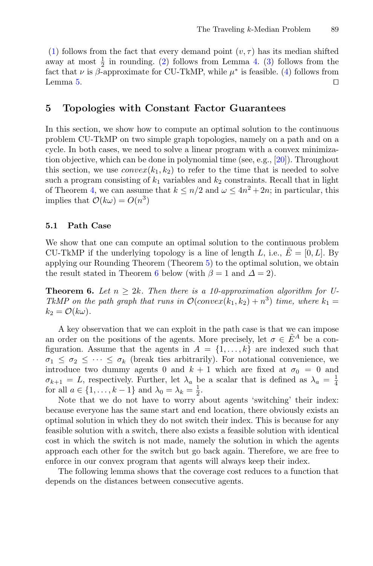[\(1\)](#page-8-0) follows from the fact that every demand point  $(v, \tau)$  has its median shifted away at most  $\frac{1}{2}$  in rounding. [\(2\)](#page-8-1) follows from Lemma [4.](#page-7-0) [\(3\)](#page-8-2) follows from the fact that  $\nu$  is  $\beta$ -approximate for CU-TkMP, while  $\mu^*$  is feasible. [\(4\)](#page-8-3) follows from Lemma [5.](#page-7-1)

### <span id="page-9-0"></span>**5 Topologies with Constant Factor Guarantees**

In this section, we show how to compute an optimal solution to the continuous problem CU-TkMP on two simple graph topologies, namely on a path and on a cycle. In both cases, we need to solve a linear program with a convex minimization objective, which can be done in polynomial time (see, e.g., [\[20\]](#page-18-14)). Throughout this section, we use  $convex(k_1, k_2)$  to refer to the time that is needed to solve such a program consisting of  $k_1$  variables and  $k_2$  constraints. Recall that in light of Theorem [4,](#page-6-1) we can assume that  $k \leq n/2$  and  $\omega \leq 4n^2 + 2n$ ; in particular, this implies that  $\mathcal{O}(k\omega) = O(n^3)$ 

#### **5.1 Path Case**

We show that one can compute an optimal solution to the continuous problem CU-TkMP if the underlying topology is a line of length L, i.e.,  $\tilde{E} = [0, L]$ . By applying our Rounding Theorem (Theorem [5\)](#page-8-4) to the optimal solution, we obtain the result stated in Theorem [6](#page-9-1) below (with  $\beta = 1$  and  $\Delta = 2$ ).

<span id="page-9-1"></span>**Theorem 6.** Let  $n \geq 2k$ . Then there is a 10-approximation algorithm for U-*TkMP* on the path graph that runs in  $\mathcal{O}(convex(k_1, k_2) + n^3)$  time, where  $k_1 =$  $k_2 = \mathcal{O}(k\omega)$ .

A key observation that we can exploit in the path case is that we can impose an order on the positions of the agents. More precisely, let  $\sigma \in \tilde{E}^A$  be a configuration. Assume that the agents in  $A = \{1, \ldots, k\}$  are indexed such that  $\sigma_1 \leq \sigma_2 \leq \cdots \leq \sigma_k$  (break ties arbitrarily). For notational convenience, we introduce two dummy agents 0 and  $k + 1$  which are fixed at  $\sigma_0 = 0$  and  $\sigma_{k+1} = L$ , respectively. Further, let  $\lambda_a$  be a scalar that is defined as  $\lambda_a = \frac{1}{4}$ for all  $a \in \{1, \ldots, k-1\}$  and  $\lambda_0 = \lambda_k = \frac{1}{2}$ .

Note that we do not have to worry about agents 'switching' their index: because everyone has the same start and end location, there obviously exists an optimal solution in which they do not switch their index. This is because for any feasible solution with a switch, there also exists a feasible solution with identical cost in which the switch is not made, namely the solution in which the agents approach each other for the switch but go back again. Therefore, we are free to enforce in our convex program that agents will always keep their index.

<span id="page-9-2"></span>The following lemma shows that the coverage cost reduces to a function that depends on the distances between consecutive agents.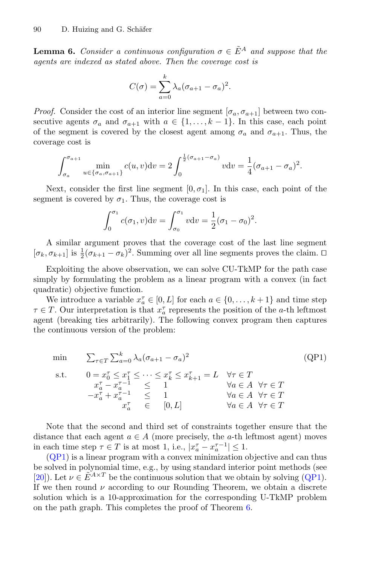**Lemma 6.** *Consider a continuous configuration*  $\sigma \in \tilde{E}^A$  *and suppose that the agents are indexed as stated above. Then the coverage cost is*

$$
C(\sigma) = \sum_{a=0}^{k} \lambda_a (\sigma_{a+1} - \sigma_a)^2.
$$

*Proof.* Consider the cost of an interior line segment  $[\sigma_a, \sigma_{a+1}]$  between two consecutive agents  $\sigma_a$  and  $\sigma_{a+1}$  with  $a \in \{1, ..., k-1\}$ . In this case, each point of the segment is covered by the closest agent among  $\sigma_a$  and  $\sigma_{a+1}$ . Thus, the coverage cost is

$$
\int_{\sigma_a}^{\sigma_{a+1}} \min_{u \in {\{\sigma_a, \sigma_{a+1}\}}} c(u, v) \mathrm{d}v = 2 \int_0^{\frac{1}{2}(\sigma_{a+1} - \sigma_a)} v \mathrm{d}v = \frac{1}{4}(\sigma_{a+1} - \sigma_a)^2.
$$

Next, consider the first line segment  $[0, \sigma_1]$ . In this case, each point of the segment is covered by  $\sigma_1$ . Thus, the coverage cost is

$$
\int_0^{\sigma_1} c(\sigma_1, v) dv = \int_{\sigma_0}^{\sigma_1} v dv = \frac{1}{2} (\sigma_1 - \sigma_0)^2.
$$

A similar argument proves that the coverage cost of the last line segment  $[\sigma_k, \sigma_{k+1}]$  is  $\frac{1}{2}(\sigma_{k+1} - \sigma_k)^2$ . Summing over all line segments proves the claim.  $\Box$ 

Exploiting the above observation, we can solve CU-TkMP for the path case simply by formulating the problem as a linear program with a convex (in fact quadratic) objective function.

We introduce a variable  $x_a^{\tau} \in [0, L]$  for each  $a \in \{0, \ldots, k+1\}$  and time step  $\tau \in T$ . Our interpretation is that  $x_a^{\tau}$  represents the position of the a-th leftmost agent (breaking ties arbitrarily). The following convex program then captures the continuous version of the problem:

min s.t.

<span id="page-10-0"></span>
$$
\sum_{\tau \in T} \sum_{a=0}^{k} \lambda_a (\sigma_{a+1} - \sigma_a)^2
$$
\n
$$
0 = x_0^{\tau} \le x_1^{\tau} \le \dots \le x_k^{\tau} \le x_{k+1}^{\tau} = L \quad \forall \tau \in T
$$
\n
$$
x_a^{\tau} - x_a^{\tau-1} \le 1 \qquad \forall a \in A \quad \forall \tau \in T
$$
\n
$$
-x_a^{\tau} + x_a^{\tau-1} \le 1 \qquad \forall a \in A \quad \forall \tau \in T
$$
\n
$$
x_a^{\tau} \in [0, L] \qquad \forall a \in A \quad \forall \tau \in T
$$
\n(QP1)

Note that the second and third set of constraints together ensure that the distance that each agent  $a \in A$  (more precisely, the a-th leftmost agent) moves in each time step  $\tau \in T$  is at most 1, i.e.,  $|x_a^{\tau} - x_a^{\tau-1}| \leq 1$ .

 $(QP1)$  is a linear program with a convex minimization objective and can thus be solved in polynomial time, e.g., by using standard interior point methods (see [\[20](#page-18-14)]). Let  $\nu \in \tilde{E}^{A \times T}$  be the continuous solution that we obtain by solving [\(QP1\)](#page-10-0). If we then round  $\nu$  according to our Rounding Theorem, we obtain a discrete solution which is a 10-approximation for the corresponding U-TkMP problem on the path graph. This completes the proof of Theorem [6.](#page-9-1)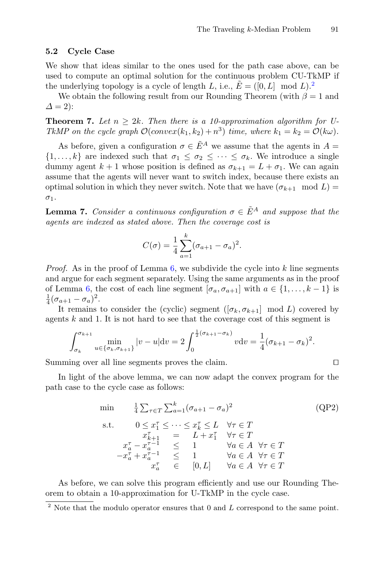### **5.2 Cycle Case**

We show that ideas similar to the ones used for the path case above, can be used to compute an optimal solution for the continuous problem CU-TkMP if the underlying topology is a cycle of length L, i.e.,  $E = ([0, L] \mod L).^2$  $E = ([0, L] \mod L).^2$ 

We obtain the following result from our Rounding Theorem (with  $\beta = 1$  and  $\Delta = 2$ :

**Theorem 7.** Let  $n \geq 2k$ . Then there is a 10-approximation algorithm for U-*TkMP on the cycle graph*  $\mathcal{O}(convex(k_1, k_2) + n^3)$  *time, where*  $k_1 = k_2 = \mathcal{O}(k\omega)$ *.* 

As before, given a configuration  $\sigma \in \tilde{E}^A$  we assume that the agents in  $A =$  $\{1,\ldots,k\}$  are indexed such that  $\sigma_1 \leq \sigma_2 \leq \cdots \leq \sigma_k$ . We introduce a single dummy agent  $k + 1$  whose position is defined as  $\sigma_{k+1} = L + \sigma_1$ . We can again assume that the agents will never want to switch index, because there exists an optimal solution in which they never switch. Note that we have  $(\sigma_{k+1} \mod L)$  =  $\sigma_1$ .

**Lemma 7.** *Consider a continuous configuration*  $\sigma \in \tilde{E}^A$  *and suppose that the agents are indexed as stated above. Then the coverage cost is*

$$
C(\sigma) = \frac{1}{4} \sum_{a=1}^{k} (\sigma_{a+1} - \sigma_a)^2.
$$

*Proof.* As in the proof of Lemma [6,](#page-9-2) we subdivide the cycle into k line segments and argue for each segment separately. Using the same arguments as in the proof of Lemma [6,](#page-9-2) the cost of each line segment  $[\sigma_a, \sigma_{a+1}]$  with  $a \in \{1, ..., k-1\}$  is  $\frac{1}{4}(\sigma_{a+1}-\sigma_a)^2.$ 

It remains to consider the (cyclic) segment  $([\sigma_k, \sigma_{k+1}] \mod L)$  covered by agents k and 1. It is not hard to see that the coverage cost of this segment is

$$
\int_{\sigma_k}^{\sigma_{k+1}} \min_{u \in {\{\sigma_k, \sigma_{k+1}\}}} |v - u| \mathrm{d}v = 2 \int_0^{\frac{1}{2}(\sigma_{k+1} - \sigma_k)} v \mathrm{d}v = \frac{1}{4}(\sigma_{k+1} - \sigma_k)^2.
$$

Summing over all line segments proves the claim.

In light of the above lemma, we can now adapt the convex program for the path case to the cycle case as follows:

$$
\min \quad \frac{1}{4} \sum_{\tau \in T} \sum_{a=1}^{k} (\sigma_{a+1} - \sigma_a)^2 \tag{QP2}
$$
\n
$$
\text{s.t.} \quad 0 \le x_1^{\tau} \le \dots \le x_k^{\tau} \le L \quad \forall \tau \in T
$$
\n
$$
x_{k+1}^{\tau} = L + x_1^{\tau} \quad \forall \tau \in T
$$
\n
$$
x_a^{\tau} - x_a^{\tau-1} \le 1 \qquad \forall a \in A \quad \forall \tau \in T
$$
\n
$$
-x_a^{\tau} + x_a^{\tau-1} \le 1 \qquad \forall a \in A \quad \forall \tau \in T
$$
\n
$$
x_a^{\tau} \in [0, L] \qquad \forall a \in A \quad \forall \tau \in T
$$

As before, we can solve this program efficiently and use our Rounding Theorem to obtain a 10-approximation for U-TkMP in the cycle case.

<span id="page-11-0"></span> $2$  Note that the modulo operator ensures that 0 and L correspond to the same point.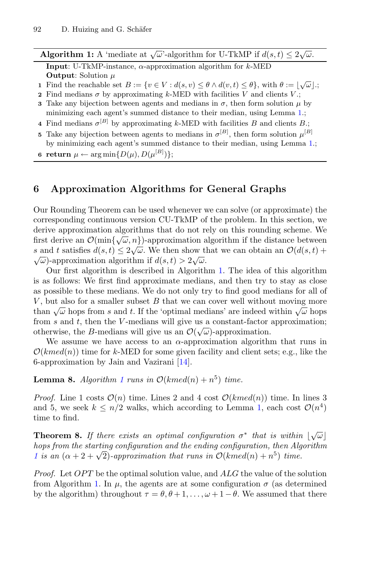**Algorithm 1:** A 'mediate at  $\sqrt{\omega}$ '-algorithm for U-TkMP if  $d(s, t) \leq 2\sqrt{\omega}$ .

**Input**: U-TkMP-instance, α-approximation algorithm for k-MED **Output**: Solution μ

- **1** Find the reachable set  $B := \{v \in V : d(s, v) \leq \theta \wedge d(v, t) \leq \theta\}$ , with  $\theta := \lfloor \sqrt{\omega} \rfloor$ .;
- **2** Find medians  $\sigma$  by approximating k-MED with facilities V and clients V.;
- **3** Take any bijection between agents and medians in  $\sigma$ , then form solution  $\mu$  by minimizing each agent's summed distance to their median, using Lemma [1.](#page-4-1);
- **4** Find medians  $\sigma^{[B]}$  by approximating k-MED with facilities B and clients B.;
- **5** Take any bijection between agents to medians in  $\sigma^{[B]}$ , then form solution  $\mu^{[B]}$ by minimizing each agent's summed distance to their median, using Lemma [1.](#page-4-1);
- <span id="page-12-1"></span>**6 return**  $\mu \leftarrow \arg \min \{ D(\mu), D(\mu^{[B]}) \};$

### <span id="page-12-0"></span>**6 Approximation Algorithms for General Graphs**

Our Rounding Theorem can be used whenever we can solve (or approximate) the corresponding continuous version CU-TkMP of the problem. In this section, we derive approximation algorithms that do not rely on this rounding scheme. We first derive an  $\mathcal{O}(\min\{\sqrt{\omega},n\})$ -approximation algorithm if the distance between s and t satisfies  $d(s,t) \leq 2\sqrt{\omega}$ . We then show that we can obtain an  $\mathcal{O}(d(s,t) +$  $\sqrt{\omega}$ )-approximation algorithm if  $d(s,t) > 2\sqrt{\omega}$ .

Our first algorithm is described in Algorithm [1.](#page-12-1) The idea of this algorithm is as follows: We first find approximate medians, and then try to stay as close as possible to these medians. We do not only try to find good medians for all of  $V$ , but also for a smaller subset  $B$  that we can cover well without moving more than  $\sqrt{\omega}$  hops from s and t. If the 'optimal medians' are indeed within  $\sqrt{\omega}$  hops from  $s$  and  $t$ , then the V-medians will give us a constant-factor approximation; otherwise, the B-medians will give us an  $\mathcal{O}(\sqrt{\omega})$ -approximation.

We assume we have access to an  $\alpha$ -approximation algorithm that runs in  $\mathcal{O}(kmed(n))$  time for k-MED for some given facility and client sets; e.g., like the 6-approximation by Jain and Vazirani [\[14](#page-18-15)].

<span id="page-12-3"></span>**Lemma 8.** *Algorithm* [1](#page-12-1) *runs in*  $\mathcal{O}(k \cdot \text{med}(n) + n^5)$  *time.* 

*Proof.* Line 1 costs  $\mathcal{O}(n)$  time. Lines 2 and 4 cost  $\mathcal{O}(kmed(n))$  time. In lines 3 and 5, we seek  $k \leq n/2$  walks, which according to Lemma [1,](#page-4-1) each cost  $\mathcal{O}(n^4)$ time to find.

<span id="page-12-2"></span>**Theorem 8.** *If there exists an optimal configuration*  $\sigma^*$  *that is within*  $\lfloor \sqrt{\omega} \rfloor$ *hops from the starting configuration and the ending configuration, then Algorithm [1](#page-12-1) is an*  $(\alpha + 2 + \sqrt{2})$ *-approximation that runs in*  $\mathcal{O}(k \cdot \text{med}(n) + n^5)$  *time.* 

*Proof.* Let OPT be the optimal solution value, and ALG the value of the solution from Algorithm [1.](#page-12-1) In  $\mu$ , the agents are at some configuration  $\sigma$  (as determined by the algorithm) throughout  $\tau = \theta, \theta + 1, \ldots, \omega + 1 - \theta$ . We assumed that there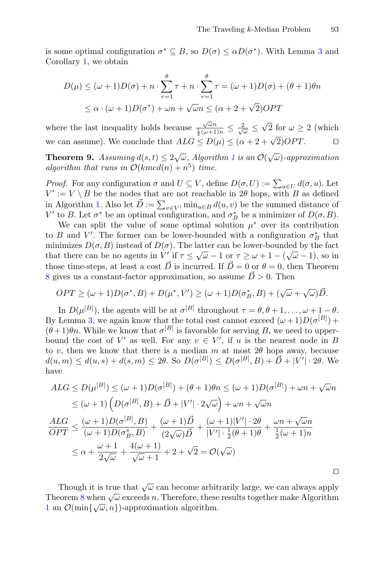is some optimal configuration  $\sigma^* \subseteq B$ , so  $D(\sigma) \leq \alpha D(\sigma^*)$ . With Lemma [3](#page-6-2) and Corollary [1,](#page-5-1) we obtain

$$
D(\mu) \leq (\omega + 1)D(\sigma) + n \cdot \sum_{\tau=1}^{\theta} \tau + n \cdot \sum_{\tau=1}^{\theta} \tau = (\omega + 1)D(\sigma) + (\theta + 1)\theta n
$$
  

$$
\leq \alpha \cdot (\omega + 1)D(\sigma^*) + \omega n + \sqrt{\omega} n \leq (\alpha + 2 + \sqrt{2})OPT
$$

where the last inequality holds because  $\frac{\sqrt{\omega}n}{\frac{1}{2}(\omega+1)n} \leq \frac{2}{\sqrt{\omega}} \leq \sqrt{2}$  for  $\omega \geq 2$  (which we can assume). We conclude that  $ALG \le D(\mu) \le (\alpha + 2 + \sqrt{2})OPT$ .

<span id="page-13-0"></span>**Theorem 9.** Assuming  $d(s,t) \leq 2\sqrt{\omega}$ , Algorithm [1](#page-12-1) is an  $\mathcal{O}(\sqrt{\omega})$ -approximation *algorithm that runs in*  $\mathcal{O}(k \cdot \text{med}(n) + n^5)$  *time.* 

*Proof.* For any configuration  $\sigma$  and  $U \subseteq V$ , define  $D(\sigma, U) := \sum_{u \in U} d(\sigma, u)$ . Let  $V' := V \setminus B$  be the nodes that are not reachable in  $2\theta$  hops, with B as defined in Algorithm [1.](#page-12-1) Also let  $\vec{D} := \sum_{v \in V'} \min_{u \in B} d(u, v)$  be the summed distance of If Algorian 1. Also for *D* := ∠ $v ∈ V$ ,  $\lim_{u \in B} u(u, v)$  be an estimated distance on  $V'$  to *B*. Let  $\sigma^*$  be an optimal configuration, and  $\sigma_B^*$  be a minimizer of  $D(σ, B)$ .

We can split the value of some optimal solution  $\mu^*$  over its contribution to B and V'. The former can be lower-bounded with a configuration  $\sigma_B^*$  that minimizes  $D(\sigma, B)$  instead of  $D(\sigma)$ . The latter can be lower-bounded by the fact that there can be no agents in  $\overline{V}'_1$  if  $\tau \leq \sqrt{\omega} - 1$  or  $\tau \geq \omega + 1 - (\sqrt{\omega} - 1)$ , so in those time-steps, at least a cost  $\vec{D}$  is incurred. If  $\vec{D} = 0$  or  $\theta = 0$ , then Theorem [8](#page-12-2) gives us a constant-factor approximation, so assume  $\vec{D} > 0$ . Then

$$
OPT \geq (\omega + 1)D(\sigma^*, B) + D(\mu^*, V') \geq (\omega + 1)D(\sigma_B^*, B) + (\sqrt{\omega} + \sqrt{\omega})\vec{D}.
$$

In  $D(\mu^{[B]})$ , the agents will be at  $\sigma^{[B]}$  throughout  $\tau = \theta, \theta + 1, \ldots, \omega + 1 - \theta$ . By Lemma [3,](#page-6-2) we again know that the total cost cannot exceed  $(\omega + 1)D(\sigma^{[B]}) +$  $(\theta+1)\theta n$ . While we know that  $\sigma^{[B]}$  is favorable for serving B, we need to upperbound the cost of V' as well. For any  $v \in V'$ , if u is the nearest node in B to v, then we know that there is a median m at most  $2\theta$  hops away, because  $d(u, m) \leq d(u, s) + d(s, m) \leq 2\theta$ . So  $D(\sigma^{[B]}) \leq D(\sigma^{[B]}, B) + \overline{D} + |V'| \cdot 2\theta$ . We have

$$
ALG \le D(\mu^{[B]}) \le (\omega + 1)D(\sigma^{[B]}) + (\theta + 1)\theta n \le (\omega + 1)D(\sigma^{[B]}) + \omega n + \sqrt{\omega} n
$$
  
\n
$$
\le (\omega + 1)\left(D(\sigma^{[B]}, B) + \vec{D} + |V'| \cdot 2\sqrt{\omega}\right) + \omega n + \sqrt{\omega} n
$$
  
\n
$$
\frac{ALG}{OPT} \le \frac{(\omega + 1)D(\sigma^{[B]}, B)}{(\omega + 1)D(\sigma_B^*, B)} + \frac{(\omega + 1)\vec{D}}{(2\sqrt{\omega})\vec{D}} + \frac{(\omega + 1)|V'| \cdot 2\theta}{|V'| \cdot \frac{1}{2}(\theta + 1)\theta} + \frac{\omega n + \sqrt{\omega} n}{\frac{1}{2}(\omega + 1)n}
$$
  
\n
$$
\le \alpha + \frac{\omega + 1}{2\sqrt{\omega}} + \frac{4(\omega + 1)}{\sqrt{\omega} + 1} + 2 + \sqrt{2} = \mathcal{O}(\sqrt{\omega})
$$

Though it is true that  $\sqrt{\omega}$  can become arbitrarily large, we can always apply Theorem [8](#page-12-2) when  $\sqrt{\omega}$  exceeds n. Therefore, these results together make Algorithm [1](#page-12-1) an  $\mathcal{O}(\min\{\sqrt{\omega},n\})$ -approximation algorithm.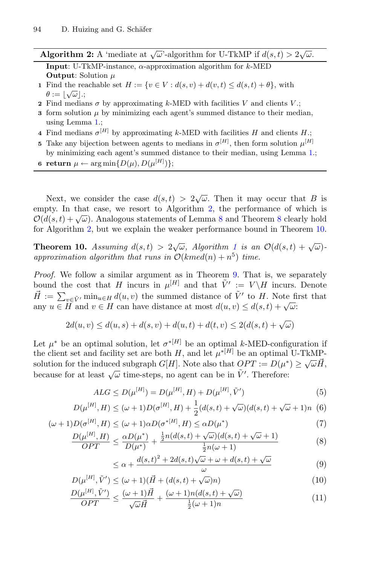## **Algorithm 2:** A 'mediate at  $\sqrt{\omega}$ '-algorithm for U-TkMP if  $d(s,t) > 2\sqrt{\omega}$ .

**Input:** U-TkMP-instance,  $\alpha$ -approximation algorithm for  $k$ -MED **Output**: Solution μ

- **1** Find the reachable set  $H := \{v \in V : d(s, v) + d(v, t) \leq d(s, t) + \theta\}$ , with  $\theta := \lfloor \sqrt{\omega} \rfloor$ .;
- **2** Find medians  $\sigma$  by approximating k-MED with facilities V and clients V.;
- **3** form solution  $\mu$  by minimizing each agent's summed distance to their median, using Lemma [1.](#page-4-1);
- **4** Find medians  $\sigma^{[H]}$  by approximating k-MED with facilities H and clients H.;
- **5** Take any bijection between agents to medians in  $\sigma^{[H]}$ , then form solution  $\mu^{[H]}$ by minimizing each agent's summed distance to their median, using Lemma [1.](#page-4-1);

<span id="page-14-0"></span>**6 return**  $\mu \leftarrow \arg \min \{ D(\mu), D(\mu^{[H]}) \};$ 

Next, we consider the case  $d(s,t) > 2\sqrt{\omega}$ . Then it may occur that B is empty. In that case, we resort to Algorithm [2,](#page-14-0) the performance of which is  $\mathcal{O}(d(s,t) + \sqrt{\omega})$ . Analogous statements of Lemma [8](#page-12-2) and Theorem 8 clearly hold for Algorithm [2,](#page-14-0) but we explain the weaker performance bound in Theorem [10.](#page-14-1)

<span id="page-14-1"></span>**Theorem [1](#page-12-1)0.** Assuming  $d(s,t) > 2\sqrt{\omega}$ , Algorithm 1 is an  $\mathcal{O}(d(s,t) + \sqrt{\omega})$ *approximation algorithm that runs in*  $\mathcal{O}(k \cdot \text{med}(n) + n^5)$  *time.* 

*Proof.* We follow a similar argument as in Theorem [9.](#page-13-0) That is, we separately bound the cost that H incurs in  $\mu^{[H]}$  and that  $\tilde{V}' := V \backslash H$  incurs. Denote  $\vec{H} := \sum_{v \in \tilde{V}'} \min_{u \in H} d(u, v)$  the summed distance of  $\tilde{V}'$  to  $H$ . Note first that any  $u \in H$  and  $v \in H$  can have distance at most  $d(u, v) \leq d(s, t) + \sqrt{\omega}$ .

$$
2d(u, v) \le d(u, s) + d(s, v) + d(u, t) + d(t, v) \le 2(d(s, t) + \sqrt{\omega})
$$

Let  $\mu^*$  be an optimal solution, let  $\sigma^{*[H]}$  be an optimal k-MED-configuration if the client set and facility set are both H, and let  $\mu^{*[H]}$  be an optimal U-TkMPsolution for the induced subgraph  $G[H]$ . Note also that  $OPT := D(\mu^*) > \sqrt{\omega} \vec{H}$ , because for at least  $\sqrt{\omega}$  time-steps, no agent can be in  $\tilde{V}'$ . Therefore:

<span id="page-14-2"></span>
$$
ALG \le D(\mu^{[H]}) = D(\mu^{[H]}, H) + D(\mu^{[H]}, \tilde{V}')
$$
\n(5)

$$
D(\mu^{[H]}, H) \leq (\omega + 1)D(\sigma^{[H]}, H) + \frac{1}{2}(d(s, t) + \sqrt{\omega})(d(s, t) + \sqrt{\omega} + 1)n
$$
(6)

$$
(\omega+1)D(\sigma^{[H]},H) \leq (\omega+1)\alpha D(\sigma^{*[H]},H) \leq \alpha D(\mu^*)
$$
\n<sup>(7)</sup>

$$
\frac{D(\mu^{[H]}, H)}{OPT} \le \frac{\alpha D(\mu^*)}{D(\mu^*)} + \frac{\frac{1}{2}n(d(s, t) + \sqrt{\omega})(d(s, t) + \sqrt{\omega} + 1)}{\frac{1}{2}n(\omega + 1)}
$$
(8)

$$
\leq \alpha + \frac{d(s,t)^2 + 2d(s,t)\sqrt{\omega} + \omega + d(s,t) + \sqrt{\omega}}{\omega} \tag{9}
$$

$$
D(\mu^{[H]}, \tilde{V}') \leq (\omega + 1)(\vec{H} + (d(s, t) + \sqrt{\omega})n)
$$
\n
$$
(10)
$$

$$
\frac{D(\mu^{[H]}, \tilde{V}')}{OPT} \le \frac{(\omega + 1)\vec{H}}{\sqrt{\omega}\vec{H}} + \frac{(\omega + 1)n(d(s, t) + \sqrt{\omega})}{\frac{1}{2}(\omega + 1)n}
$$
(11)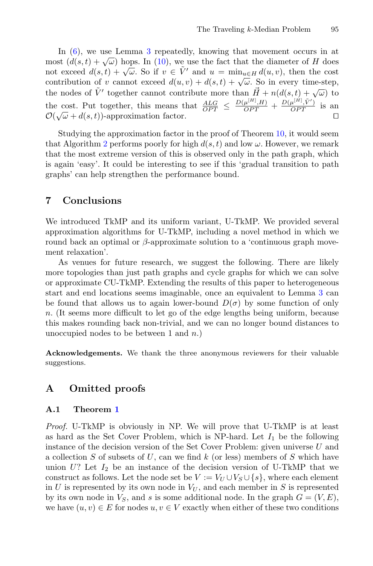In [\(6\)](#page-14-2), we use Lemma [3](#page-6-2) repeatedly, knowing that movement occurs in at most  $(d(s,t) + \sqrt{\omega})$  hops. In [\(10\)](#page-14-2), we use the fact that the diameter of H does not exceed  $d(s,t) + \sqrt{\omega}$ . So if  $v \in \tilde{V}'$  and  $u = \min_{u \in H} d(u,v)$ , then the cost contribution of v cannot exceed  $d(u, v) + d(s, t) + \sqrt{\omega}$ . So in every time-step, the nodes of  $\tilde{V}'$  together cannot contribute more than  $\tilde{H} + n(d(s,t) + \sqrt{\omega})$  to the cost. Put together, this means that  $\frac{ALG}{OPT} \leq \frac{D(\mu^{[H]},H)}{OPT} + \frac{D(\mu^{[H]},\tilde{V}')}{OPT}$  is an  $\mathcal{O}(\sqrt{\omega}+d(s,t))$ -approximation factor.

Studying the approximation factor in the proof of Theorem [10,](#page-14-1) it would seem that Algorithm [2](#page-14-0) performs poorly for high  $d(s, t)$  and low  $\omega$ . However, we remark that the most extreme version of this is observed only in the path graph, which is again 'easy'. It could be interesting to see if this 'gradual transition to path graphs' can help strengthen the performance bound.

### **7 Conclusions**

We introduced TkMP and its uniform variant, U-TkMP. We provided several approximation algorithms for U-TkMP, including a novel method in which we round back an optimal or β-approximate solution to a 'continuous graph movement relaxation'.

As venues for future research, we suggest the following. There are likely more topologies than just path graphs and cycle graphs for which we can solve or approximate CU-TkMP. Extending the results of this paper to heterogeneous start and end locations seems imaginable, once an equivalent to Lemma [3](#page-4-2) can be found that allows us to again lower-bound  $D(\sigma)$  by some function of only n. (It seems more difficult to let go of the edge lengths being uniform, because this makes rounding back non-trivial, and we can no longer bound distances to unoccupied nodes to be between 1 and  $n$ .)

**Acknowledgements.** We thank the three anonymous reviewers for their valuable suggestions.

# <span id="page-15-0"></span>**A Omitted proofs**

### **A.1 Theorem [1](#page-4-5)**

*Proof.* U-TkMP is obviously in NP. We will prove that U-TkMP is at least as hard as the Set Cover Problem, which is NP-hard. Let  $I_1$  be the following instance of the decision version of the Set Cover Problem: given universe U and a collection S of subsets of U, can we find  $k$  (or less) members of S which have union  $U$ ? Let  $I_2$  be an instance of the decision version of U-TkMP that we construct as follows. Let the node set be  $V := V_U \cup V_S \cup \{s\}$ , where each element in U is represented by its own node in  $V_U$ , and each member in S is represented by its own node in  $V_S$ , and s is some additional node. In the graph  $G = (V, E)$ , we have  $(u, v) \in E$  for nodes  $u, v \in V$  exactly when either of these two conditions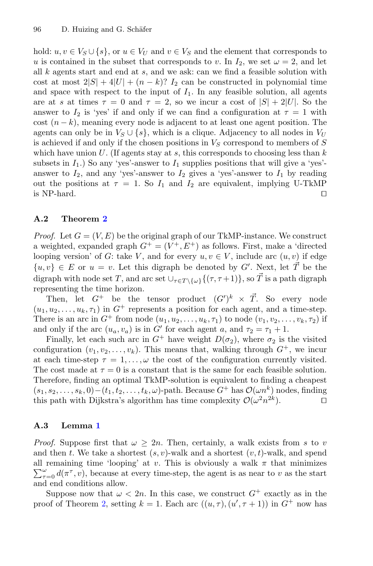hold:  $u, v \in V_S \cup \{s\}$ , or  $u \in V_U$  and  $v \in V_S$  and the element that corresponds to u is contained in the subset that corresponds to v. In  $I_2$ , we set  $\omega = 2$ , and let all  $k$  agents start and end at  $s$ , and we ask: can we find a feasible solution with cost at most  $2|S| + 4|U| + (n - k)$ ?  $I_2$  can be constructed in polynomial time and space with respect to the input of  $I_1$ . In any feasible solution, all agents are at s at times  $\tau = 0$  and  $\tau = 2$ , so we incur a cost of  $|S| + 2|U|$ . So the answer to  $I_2$  is 'yes' if and only if we can find a configuration at  $\tau = 1$  with cost  $(n - k)$ , meaning every node is adjacent to at least one agent position. The agents can only be in  $V_S \cup \{s\}$ , which is a clique. Adjacency to all nodes in  $V_U$ is achieved if and only if the chosen positions in  $V_S$  correspond to members of  $S$ which have union U. (If agents stay at s, this corresponds to choosing less than  $k$ subsets in  $I_1$ .) So any 'yes'-answer to  $I_1$  supplies positions that will give a 'yes'answer to  $I_2$ , and any 'yes'-answer to  $I_2$  gives a 'yes'-answer to  $I_1$  by reading out the positions at  $\tau = 1$ . So  $I_1$  and  $I_2$  are equivalent, implying U-TkMP is NP-hard.  $\square$ 

#### **A.2 Theorem [2](#page-4-4)**

*Proof.* Let  $G = (V, E)$  be the original graph of our TkMP-instance. We construct a weighted, expanded graph  $G^+ = (V^+, E^+)$  as follows. First, make a 'directed looping version' of G: take V, and for every  $u, v \in V$ , include arc  $(u, v)$  if edge  ${u, v} \in E$  or  $u = v$ . Let this digraph be denoted by G'. Next, let  $\overrightarrow{T}$  be the digraph with node set T, and arc set  $\bigcup_{\tau \in T\setminus \{\omega\}} \{(\tau,\tau+1)\}\)$ , so  $\vec{T}$  is a path digraph representing the time horizon.

Then, let  $G^+$  be the tensor product  $(G')^k \times \vec{T}$ . So every node  $(u_1, u_2, \ldots, u_k, \tau_1)$  in  $G^+$  represents a position for each agent, and a time-step. There is an arc in  $G^+$  from node  $(u_1, u_2, \ldots, u_k, \tau_1)$  to node  $(v_1, v_2, \ldots, v_k, \tau_2)$  if and only if the arc  $(u_a, v_a)$  is in G' for each agent a, and  $\tau_2 = \tau_1 + 1$ .

Finally, let each such arc in  $G^+$  have weight  $D(\sigma_2)$ , where  $\sigma_2$  is the visited configuration  $(v_1, v_2, \ldots, v_k)$ . This means that, walking through  $G^+$ , we incur at each time-step  $\tau = 1, \ldots, \omega$  the cost of the configuration currently visited. The cost made at  $\tau = 0$  is a constant that is the same for each feasible solution. Therefore, finding an optimal TkMP-solution is equivalent to finding a cheapest  $(s_1, s_2, \ldots, s_k, 0) - (t_1, t_2, \ldots, t_k, \omega)$ -path. Because  $G^+$  has  $\mathcal{O}(\omega n^k)$  nodes, finding this path with Diikstra's algorithm has time complexity  $\mathcal{O}(\omega^2 n^{2k})$ this path with Dijkstra's algorithm has time complexity  $\mathcal{O}(\omega^2 n^{2k})$ .

#### **A.3 Lemma [1](#page-4-1)**

*Proof.* Suppose first that  $\omega \geq 2n$ . Then, certainly, a walk exists from s to v and then t. We take a shortest  $(s, v)$ -walk and a shortest  $(v, t)$ -walk, and spend all remaining time 'looping' at v. This is obviously a walk  $\pi$  that minimizes  $\sum_{\alpha}^{\omega} d(\pi^{\tau}, y)$  because at every time step, the execution as near to y as the start  $\sum_{\tau=0}^{\omega} d(\pi^{\tau}, v)$ , because at every time-step, the agent is as near to v as the start and end conditions allow.

Suppose now that  $\omega < 2n$ . In this case, we construct  $G^+$  exactly as in the proof of Theorem [2,](#page-4-4) setting  $k = 1$ . Each arc  $((u, \tau), (u', \tau + 1))$  in  $G^+$  now has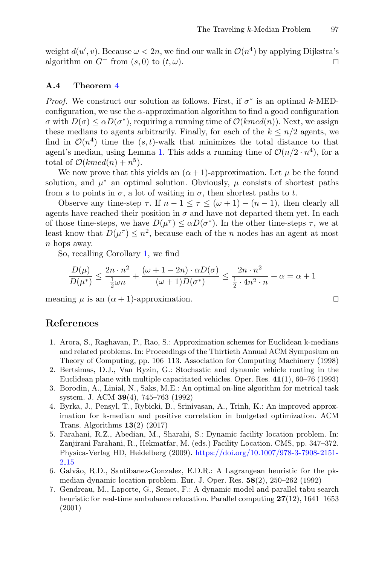weight  $d(u', v)$ . Because  $\omega < 2n$ , we find our walk in  $\mathcal{O}(n^4)$  by applying Dijkstra's algorithm on  $G^+$  from  $(s, 0)$  to  $(t, \omega)$ .

#### **A.4 Theorem [4](#page-6-1)**

*Proof.* We construct our solution as follows. First, if  $\sigma^*$  is an optimal k-MEDconfiguration, we use the  $\alpha$ -approximation algorithm to find a good configuration  $\sigma$  with  $D(\sigma) \le \alpha D(\sigma^*)$ , requiring a running time of  $\mathcal{O}(kmed(n))$ . Next, we assign these medians to agents arbitrarily. Finally, for each of the  $k \leq n/2$  agents, we find in  $\mathcal{O}(n^4)$  time the (s, t)-walk that minimizes the total distance to that agent's median, using Lemma [1.](#page-4-1) This adds a running time of  $\mathcal{O}(n/2 \cdot n^4)$ , for a total of  $\mathcal{O}(k \cdot n^2) + n^5$ .

We now prove that this yields an  $(\alpha + 1)$ -approximation. Let  $\mu$  be the found solution, and  $\mu^*$  an optimal solution. Obviously,  $\mu$  consists of shortest paths from s to points in  $\sigma$ , a lot of waiting in  $\sigma$ , then shortest paths to t.

Observe any time-step  $\tau$ . If  $n - 1 \leq \tau \leq (\omega + 1) - (n - 1)$ , then clearly all agents have reached their position in  $\sigma$  and have not departed them yet. In each of those time-steps, we have  $D(\mu^{\tau}) \leq \alpha D(\sigma^*)$ . In the other time-steps  $\tau$ , we at least know that  $D(\mu^{\tau}) \leq n^2$ , because each of the *n* nodes has an agent at most n hops away.

So, recalling Corollary [1,](#page-5-1) we find

$$
\frac{D(\mu)}{D(\mu^*)} \le \frac{2n \cdot n^2}{\frac{1}{2}\omega n} + \frac{(\omega + 1 - 2n) \cdot \alpha D(\sigma)}{(\omega + 1)D(\sigma^*)} \le \frac{2n \cdot n^2}{\frac{1}{2} \cdot 4n^2 \cdot n} + \alpha = \alpha + 1
$$

meaning  $\mu$  is an  $(\alpha + 1)$ -approximation.

### **References**

- <span id="page-17-0"></span>1. Arora, S., Raghavan, P., Rao, S.: Approximation schemes for Euclidean k-medians and related problems. In: Proceedings of the Thirtieth Annual ACM Symposium on Theory of Computing, pp. 106–113. Association for Computing Machinery (1998)
- <span id="page-17-6"></span>2. Bertsimas, D.J., Van Ryzin, G.: Stochastic and dynamic vehicle routing in the Euclidean plane with multiple capacitated vehicles. Oper. Res. **41**(1), 60–76 (1993)
- <span id="page-17-2"></span>3. Borodin, A., Linial, N., Saks, M.E.: An optimal on-line algorithm for metrical task system. J. ACM **39**(4), 745–763 (1992)
- <span id="page-17-1"></span>4. Byrka, J., Pensyl, T., Rybicki, B., Srinivasan, A., Trinh, K.: An improved approximation for k-median and positive correlation in budgeted optimization. ACM Trans. Algorithms **13**(2) (2017)
- <span id="page-17-3"></span>5. Farahani, R.Z., Abedian, M., Sharahi, S.: Dynamic facility location problem. In: Zanjirani Farahani, R., Hekmatfar, M. (eds.) Facility Location. CMS, pp. 347–372. Physica-Verlag HD, Heidelberg (2009). [https://doi.org/10.1007/978-3-7908-2151-](https://doi.org/10.1007/978-3-7908-2151-2_15) 2 [15](https://doi.org/10.1007/978-3-7908-2151-2_15)
- <span id="page-17-5"></span>6. Galvão, R.D., Santibanez-Gonzalez, E.D.R.: A Lagrangean heuristic for the pkmedian dynamic location problem. Eur. J. Oper. Res. **58**(2), 250–262 (1992)
- <span id="page-17-4"></span>7. Gendreau, M., Laporte, G., Semet, F.: A dynamic model and parallel tabu search heuristic for real-time ambulance relocation. Parallel computing **27**(12), 1641–1653 (2001)